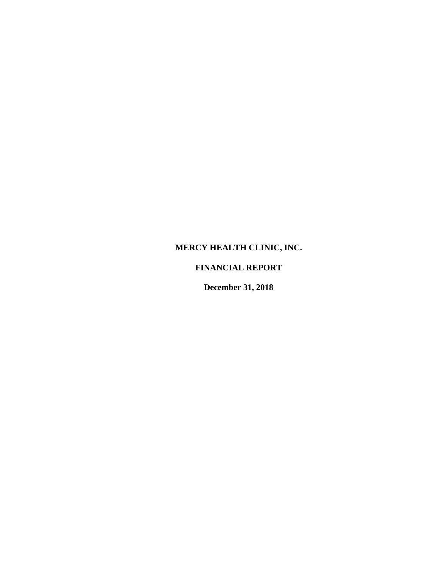# **MERCY HEALTH CLINIC, INC.**

# **FINANCIAL REPORT**

**December 31, 2018**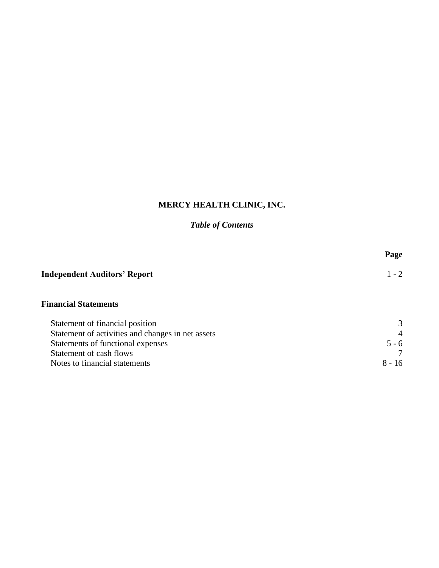# **MERCY HEALTH CLINIC, INC.**

# *Table of Contents*

| Page     |
|----------|
| $1 - 2$  |
|          |
| 3        |
| 4        |
| $5 - 6$  |
|          |
| $8 - 16$ |
|          |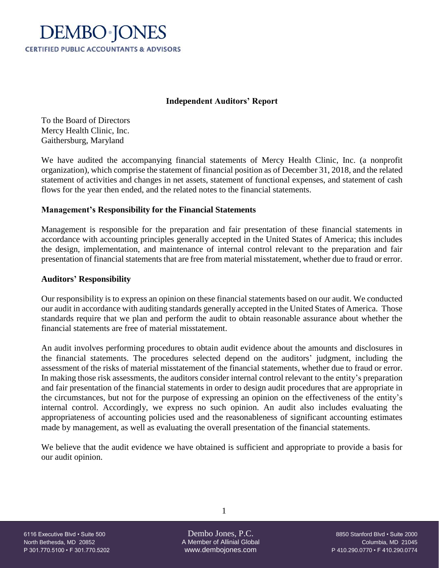

## **Independent Auditors' Report**

To the Board of Directors Mercy Health Clinic, Inc. Gaithersburg, Maryland

We have audited the accompanying financial statements of Mercy Health Clinic, Inc. (a nonprofit organization), which comprise the statement of financial position as of December 31, 2018, and the related statement of activities and changes in net assets, statement of functional expenses, and statement of cash flows for the year then ended, and the related notes to the financial statements.

# **Management's Responsibility for the Financial Statements**

Management is responsible for the preparation and fair presentation of these financial statements in accordance with accounting principles generally accepted in the United States of America; this includes the design, implementation, and maintenance of internal control relevant to the preparation and fair presentation of financial statements that are free from material misstatement, whether due to fraud or error.

## **Auditors' Responsibility**

Our responsibility is to express an opinion on these financial statements based on our audit. We conducted our audit in accordance with auditing standards generally accepted in the United States of America. Those standards require that we plan and perform the audit to obtain reasonable assurance about whether the financial statements are free of material misstatement.

An audit involves performing procedures to obtain audit evidence about the amounts and disclosures in the financial statements. The procedures selected depend on the auditors' judgment, including the assessment of the risks of material misstatement of the financial statements, whether due to fraud or error. In making those risk assessments, the auditors consider internal control relevant to the entity's preparation and fair presentation of the financial statements in order to design audit procedures that are appropriate in the circumstances, but not for the purpose of expressing an opinion on the effectiveness of the entity's internal control. Accordingly, we express no such opinion. An audit also includes evaluating the appropriateness of accounting policies used and the reasonableness of significant accounting estimates made by management, as well as evaluating the overall presentation of the financial statements.

We believe that the audit evidence we have obtained is sufficient and appropriate to provide a basis for our audit opinion.

North Bethesda, MD 20852 A Member of Allinial Global Columbia, MD 21045 P 301.770.5100 • F 301.770.5202 www.dembojones.com P 410.290.0770 • F 410.290.0774

1

6116 Executive Blvd • Suite 500 Dembo Jones, P.C. 8850 Stanford Blvd • Suite 2000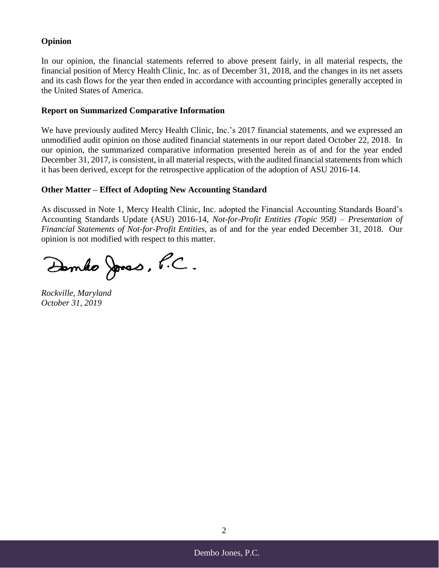# **Opinion**

In our opinion, the financial statements referred to above present fairly, in all material respects, the financial position of Mercy Health Clinic, Inc. as of December 31, 2018, and the changes in its net assets and its cash flows for the year then ended in accordance with accounting principles generally accepted in the United States of America.

## **Report on Summarized Comparative Information**

We have previously audited Mercy Health Clinic, Inc.'s 2017 financial statements, and we expressed an unmodified audit opinion on those audited financial statements in our report dated October 22, 2018. In our opinion, the summarized comparative information presented herein as of and for the year ended December 31, 2017, is consistent, in all material respects, with the audited financial statements from which it has been derived, except for the retrospective application of the adoption of ASU 2016-14.

## **Other Matter – Effect of Adopting New Accounting Standard**

As discussed in Note 1, Mercy Health Clinic, Inc. adopted the Financial Accounting Standards Board's Accounting Standards Update (ASU) 2016-14, *Not-for-Profit Entities (Topic 958) – Presentation of Financial Statements of Not-for-Profit Entities*, as of and for the year ended December 31, 2018. Our opinion is not modified with respect to this matter.

Dembo Jones, P.C.

*Rockville, Maryland October 31, 2019*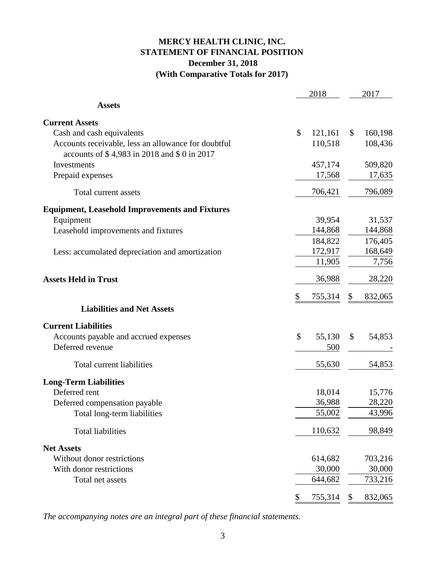# **MERCY HEALTH CLINIC, INC. STATEMENT OF FINANCIAL POSITION December 31, 2018 (With Comparative Totals for 2017)**

|                                                                                                    | 2018          |         |                           | 2017    |
|----------------------------------------------------------------------------------------------------|---------------|---------|---------------------------|---------|
| <b>Assets</b>                                                                                      |               |         |                           |         |
| <b>Current Assets</b>                                                                              |               |         |                           |         |
| Cash and cash equivalents                                                                          | \$            | 121,161 | \$                        | 160,198 |
| Accounts receivable, less an allowance for doubtful<br>accounts of \$4,983 in 2018 and \$0 in 2017 |               | 110,518 |                           | 108,436 |
| <b>Investments</b>                                                                                 |               | 457,174 |                           |         |
|                                                                                                    |               |         |                           | 509,820 |
| Prepaid expenses                                                                                   |               | 17,568  |                           | 17,635  |
| Total current assets                                                                               |               | 706,421 |                           | 796,089 |
| <b>Equipment, Leasehold Improvements and Fixtures</b>                                              |               |         |                           |         |
| Equipment                                                                                          |               | 39,954  |                           | 31,537  |
| Leasehold improvements and fixtures                                                                |               | 144,868 |                           | 144,868 |
|                                                                                                    |               | 184,822 |                           | 176,405 |
| Less: accumulated depreciation and amortization                                                    |               | 172,917 |                           | 168,649 |
|                                                                                                    |               | 11,905  |                           | 7,756   |
| <b>Assets Held in Trust</b>                                                                        |               | 36,988  |                           | 28,220  |
|                                                                                                    | \$            | 755,314 | \$                        | 832,065 |
| <b>Liabilities and Net Assets</b>                                                                  |               |         |                           |         |
| <b>Current Liabilities</b>                                                                         |               |         |                           |         |
| Accounts payable and accrued expenses                                                              | $\mathcal{S}$ | 55,130  | \$                        | 54,853  |
| Deferred revenue                                                                                   |               | 500     |                           |         |
| Total current liabilities                                                                          |               | 55,630  |                           | 54,853  |
| <b>Long-Term Liabilities</b>                                                                       |               |         |                           |         |
| Deferred rent                                                                                      |               | 18,014  |                           | 15,776  |
| Deferred compensation payable                                                                      |               | 36,988  |                           | 28,220  |
| Total long-term liabilities                                                                        |               | 55,002  |                           | 43,996  |
| <b>Total liabilities</b>                                                                           |               | 110,632 |                           | 98,849  |
| <b>Net Assets</b>                                                                                  |               |         |                           |         |
| Without donor restrictions                                                                         |               | 614,682 |                           | 703,216 |
| With donor restrictions                                                                            |               | 30,000  |                           | 30,000  |
| Total net assets                                                                                   |               | 644,682 |                           | 733,216 |
|                                                                                                    | \$            | 755,314 | $\boldsymbol{\mathsf{S}}$ | 832,065 |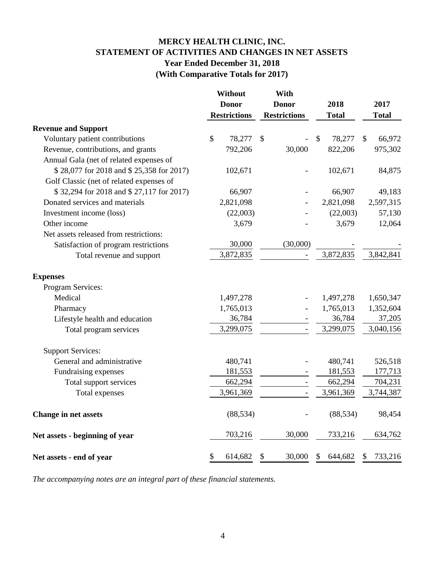# **MERCY HEALTH CLINIC, INC. STATEMENT OF ACTIVITIES AND CHANGES IN NET ASSETS Year Ended December 31, 2018 (With Comparative Totals for 2017)**

|                                          | Without       |                     | With                |                         |               |
|------------------------------------------|---------------|---------------------|---------------------|-------------------------|---------------|
|                                          | <b>Donor</b>  |                     | <b>Donor</b>        | 2018                    | 2017          |
|                                          |               | <b>Restrictions</b> | <b>Restrictions</b> | <b>Total</b>            | <b>Total</b>  |
| <b>Revenue and Support</b>               |               |                     |                     |                         |               |
| Voluntary patient contributions          | $\mathcal{S}$ | 78,277              | $\mathbb{S}$        | $\mathcal{S}$<br>78,277 | 66,972<br>\$  |
| Revenue, contributions, and grants       |               | 792,206             | 30,000              | 822,206                 | 975,302       |
| Annual Gala (net of related expenses of  |               |                     |                     |                         |               |
| \$28,077 for 2018 and \$25,358 for 2017) |               | 102,671             |                     | 102,671                 | 84,875        |
| Golf Classic (net of related expenses of |               |                     |                     |                         |               |
| \$32,294 for 2018 and \$27,117 for 2017) |               | 66,907              |                     | 66,907                  | 49,183        |
| Donated services and materials           |               | 2,821,098           |                     | 2,821,098               | 2,597,315     |
| Investment income (loss)                 |               | (22,003)            |                     | (22,003)                | 57,130        |
| Other income                             |               | 3,679               |                     | 3,679                   | 12,064        |
| Net assets released from restrictions:   |               |                     |                     |                         |               |
| Satisfaction of program restrictions     |               | 30,000              | (30,000)            |                         |               |
| Total revenue and support                |               | 3,872,835           |                     | 3,872,835               | 3,842,841     |
| <b>Expenses</b>                          |               |                     |                     |                         |               |
| Program Services:                        |               |                     |                     |                         |               |
| Medical                                  |               | 1,497,278           |                     | 1,497,278               | 1,650,347     |
| Pharmacy                                 |               | 1,765,013           |                     | 1,765,013               | 1,352,604     |
| Lifestyle health and education           |               | 36,784              |                     | 36,784                  | 37,205        |
| Total program services                   |               | 3,299,075           | $\overline{a}$      | 3,299,075               | 3,040,156     |
| <b>Support Services:</b>                 |               |                     |                     |                         |               |
| General and administrative               |               | 480,741             |                     | 480,741                 | 526,518       |
| Fundraising expenses                     |               | 181,553             | $\qquad \qquad -$   | 181,553                 | 177,713       |
| Total support services                   |               | 662,294             | $\blacksquare$      | 662,294                 | 704,231       |
| Total expenses                           |               | 3,961,369           |                     | 3,961,369               | 3,744,387     |
| <b>Change in net assets</b>              |               | (88, 534)           |                     | (88, 534)               | 98,454        |
| Net assets - beginning of year           |               | 703,216             | 30,000              | 733,216                 | 634,762       |
| Net assets - end of year                 | \$            | 614,682             | 30,000<br>\$        | 644,682<br>\$           | 733,216<br>\$ |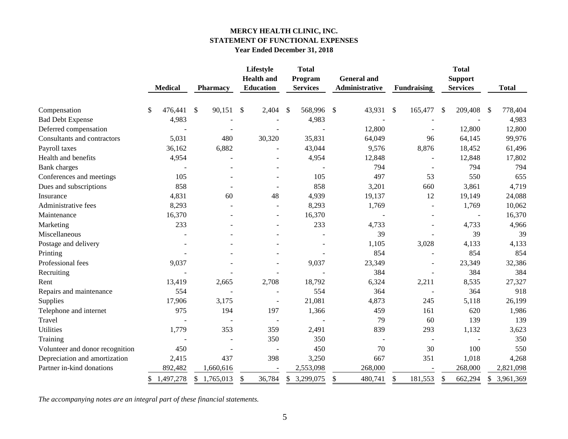## **MERCY HEALTH CLINIC, INC. STATEMENT OF FUNCTIONAL EXPENSES Year Ended December 31, 2018**

|                                 | <b>Medical</b>  | Pharmacy        |                          | Lifestyle<br><b>Health</b> and<br><b>Education</b> | <b>Total</b><br>Program<br><b>Services</b> | <b>General and</b><br>Administrative | <b>Fundraising</b>       |     | <b>Total</b><br><b>Support</b><br><b>Services</b> |     | <b>Total</b> |
|---------------------------------|-----------------|-----------------|--------------------------|----------------------------------------------------|--------------------------------------------|--------------------------------------|--------------------------|-----|---------------------------------------------------|-----|--------------|
|                                 |                 |                 |                          |                                                    |                                            |                                      |                          |     |                                                   |     |              |
| Compensation                    | \$<br>476,441   | \$<br>90,151    | \$                       | 2,404                                              | \$<br>568,996                              | \$<br>43,931                         | \$<br>165,477            | -\$ | 209,408                                           | -\$ | 778,404      |
| <b>Bad Debt Expense</b>         | 4,983           |                 |                          |                                                    | 4,983                                      |                                      |                          |     |                                                   |     | 4,983        |
| Deferred compensation           |                 |                 | $\overline{\phantom{a}}$ |                                                    |                                            | 12,800                               | $\blacksquare$           |     | 12,800                                            |     | 12,800       |
| Consultants and contractors     | 5,031           | 480             |                          | 30,320                                             | 35,831                                     | 64,049                               | 96                       |     | 64,145                                            |     | 99,976       |
| Payroll taxes                   | 36,162          | 6,882           |                          |                                                    | 43,044                                     | 9,576                                | 8,876                    |     | 18,452                                            |     | 61,496       |
| Health and benefits             | 4,954           |                 |                          |                                                    | 4,954                                      | 12,848                               |                          |     | 12,848                                            |     | 17,802       |
| <b>Bank</b> charges             | $\blacksquare$  |                 |                          | $\sim$                                             |                                            | 794                                  | $\blacksquare$           |     | 794                                               |     | 794          |
| Conferences and meetings        | 105             |                 |                          |                                                    | 105                                        | 497                                  | 53                       |     | 550                                               |     | 655          |
| Dues and subscriptions          | 858             |                 |                          |                                                    | 858                                        | 3,201                                | 660                      |     | 3,861                                             |     | 4,719        |
| Insurance                       | 4,831           | 60              |                          | 48                                                 | 4,939                                      | 19,137                               | 12                       |     | 19,149                                            |     | 24,088       |
| Administrative fees             | 8,293           |                 |                          |                                                    | 8,293                                      | 1,769                                | $\blacksquare$           |     | 1,769                                             |     | 10,062       |
| Maintenance                     | 16,370          |                 |                          | $\sim$                                             | 16,370                                     |                                      |                          |     |                                                   |     | 16,370       |
| Marketing                       | 233             |                 |                          |                                                    | 233                                        | 4,733                                | $\blacksquare$           |     | 4,733                                             |     | 4,966        |
| Miscellaneous                   |                 |                 |                          |                                                    |                                            | 39                                   |                          |     | 39                                                |     | 39           |
| Postage and delivery            |                 |                 |                          |                                                    |                                            | 1,105                                | 3,028                    |     | 4,133                                             |     | 4,133        |
| Printing                        |                 |                 |                          |                                                    |                                            | 854                                  | $\blacksquare$           |     | 854                                               |     | 854          |
| Professional fees               | 9,037           |                 |                          |                                                    | 9,037                                      | 23,349                               | $\blacksquare$           |     | 23,349                                            |     | 32,386       |
| Recruiting                      |                 |                 |                          |                                                    |                                            | 384                                  | $\blacksquare$           |     | 384                                               |     | 384          |
| Rent                            | 13,419          | 2,665           |                          | 2,708                                              | 18,792                                     | 6,324                                | 2,211                    |     | 8,535                                             |     | 27,327       |
| Repairs and maintenance         | 554             |                 |                          |                                                    | 554                                        | 364                                  |                          |     | 364                                               |     | 918          |
| Supplies                        | 17,906          | 3,175           |                          | $\overline{\phantom{a}}$                           | 21,081                                     | 4,873                                | 245                      |     | 5,118                                             |     | 26,199       |
| Telephone and internet          | 975             | 194             |                          | 197                                                | 1,366                                      | 459                                  | 161                      |     | 620                                               |     | 1,986        |
| Travel                          | $\overline{a}$  |                 | $\blacksquare$           | $\sim$                                             |                                            | 79                                   | 60                       |     | 139                                               |     | 139          |
| <b>Utilities</b>                | 1,779           | 353             |                          | 359                                                | 2,491                                      | 839                                  | 293                      |     | 1,132                                             |     | 3,623        |
| Training                        |                 |                 |                          | 350                                                | 350                                        | $\blacksquare$                       | $\overline{\phantom{a}}$ |     |                                                   |     | 350          |
| Volunteer and donor recognition | 450             |                 | $\blacksquare$           |                                                    | 450                                        | 70                                   | 30                       |     | 100                                               |     | 550          |
| Depreciation and amortization   | 2,415           | 437             |                          | 398                                                | 3,250                                      | 667                                  | 351                      |     | 1,018                                             |     | 4,268        |
| Partner in-kind donations       | 892,482         | 1,660,616       |                          |                                                    | 2,553,098                                  | 268,000                              |                          |     | 268,000                                           |     | 2,821,098    |
|                                 | 1,497,278<br>\$ | 1,765,013<br>\$ | \$                       | 36,784                                             | \$<br>3,299,075                            | \$<br>480,741                        | \$<br>181,553            | \$  | 662,294                                           | \$  | 3,961,369    |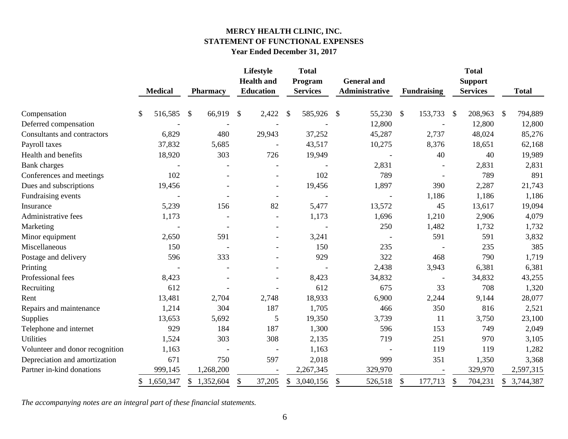# **MERCY HEALTH CLINIC, INC. STATEMENT OF FUNCTIONAL EXPENSES Year Ended December 31, 2017**

|                                 |                 |                         | Lifestyle<br><b>Health and</b> | <b>Total</b><br>Program   |         | <b>General</b> and                   |               |                    | <b>Total</b><br><b>Support</b> |                           |              |
|---------------------------------|-----------------|-------------------------|--------------------------------|---------------------------|---------|--------------------------------------|---------------|--------------------|--------------------------------|---------------------------|--------------|
|                                 | <b>Medical</b>  | <b>Pharmacy</b>         | Education                      | <b>Services</b>           |         | Administrative                       |               | <b>Fundraising</b> | <b>Services</b>                |                           | <b>Total</b> |
| Compensation                    | 516,585<br>\$   | 66,919<br>$\mathcal{S}$ | \$<br>2,422                    | $\boldsymbol{\mathsf{S}}$ | 585,926 | \$<br>55,230                         | $\mathcal{S}$ | 153,733            | 208,963<br>\$                  | $\boldsymbol{\mathsf{S}}$ | 794,889      |
| Deferred compensation           |                 |                         |                                |                           |         | 12,800                               |               |                    | 12,800                         |                           | 12,800       |
| Consultants and contractors     | 6,829           | 480                     | 29,943                         |                           | 37,252  | 45,287                               |               | 2,737              | 48,024                         |                           | 85,276       |
| Payroll taxes                   | 37,832          | 5,685                   |                                |                           | 43,517  | 10,275                               |               | 8,376              | 18,651                         |                           | 62,168       |
| Health and benefits             | 18,920          | 303                     | 726                            |                           | 19,949  |                                      |               | 40                 | 40                             |                           | 19,989       |
| <b>Bank</b> charges             |                 |                         |                                |                           |         | 2,831                                |               |                    | 2,831                          |                           | 2,831        |
| Conferences and meetings        | 102             |                         |                                |                           | 102     | 789                                  |               |                    | 789                            |                           | 891          |
| Dues and subscriptions          | 19,456          |                         | $\overline{\phantom{a}}$       |                           | 19,456  | 1,897                                |               | 390                | 2,287                          |                           | 21,743       |
| Fundraising events              |                 |                         | $\overline{\phantom{a}}$       |                           |         |                                      |               | 1,186              | 1,186                          |                           | 1,186        |
| Insurance                       | 5,239           | 156                     | 82                             |                           | 5,477   | 13,572                               |               | 45                 | 13,617                         |                           | 19,094       |
| Administrative fees             | 1,173           |                         |                                |                           | 1,173   | 1,696                                |               | 1,210              | 2,906                          |                           | 4,079        |
| Marketing                       |                 |                         |                                |                           |         | 250                                  |               | 1,482              | 1,732                          |                           | 1,732        |
| Minor equipment                 | 2,650           | 591                     |                                |                           | 3,241   |                                      |               | 591                | 591                            |                           | 3,832        |
| Miscellaneous                   | 150             |                         | $\blacksquare$                 |                           | 150     | 235                                  |               |                    | 235                            |                           | 385          |
| Postage and delivery            | 596             | 333                     |                                |                           | 929     | 322                                  |               | 468                | 790                            |                           | 1,719        |
| Printing                        |                 |                         |                                |                           |         | 2,438                                |               | 3,943              | 6,381                          |                           | 6,381        |
| Professional fees               | 8,423           |                         |                                |                           | 8,423   | 34,832                               |               |                    | 34,832                         |                           | 43,255       |
| Recruiting                      | 612             |                         |                                |                           | 612     | 675                                  |               | 33                 | 708                            |                           | 1,320        |
| Rent                            | 13,481          | 2,704                   | 2,748                          |                           | 18,933  | 6,900                                |               | 2,244              | 9,144                          |                           | 28,077       |
| Repairs and maintenance         | 1,214           | 304                     | 187                            |                           | 1,705   | 466                                  |               | 350                | 816                            |                           | 2,521        |
| Supplies                        | 13,653          | 5,692                   | 5                              |                           | 19,350  | 3,739                                |               | 11                 | 3,750                          |                           | 23,100       |
| Telephone and internet          | 929             | 184                     | 187                            |                           | 1,300   | 596                                  |               | 153                | 749                            |                           | 2,049        |
| <b>Utilities</b>                | 1,524           | 303                     | 308                            |                           | 2,135   | 719                                  |               | 251                | 970                            |                           | 3,105        |
| Volunteer and donor recognition | 1,163           |                         |                                |                           | 1,163   |                                      |               | 119                | 119                            |                           | 1,282        |
| Depreciation and amortization   | 671             | 750                     | 597                            |                           | 2,018   | 999                                  |               | 351                | 1,350                          |                           | 3,368        |
| Partner in-kind donations       | 999,145         | 1,268,200               |                                | 2,267,345                 |         | 329,970                              |               |                    | 329,970                        |                           | 2,597,315    |
|                                 | 1,650,347<br>\$ | \$1,352,604             | \$<br>37,205                   | \$<br>3,040,156           |         | 526,518<br>$\boldsymbol{\mathsf{S}}$ | \$            | 177,713            | 704,231<br>\$                  | \$                        | 3,744,387    |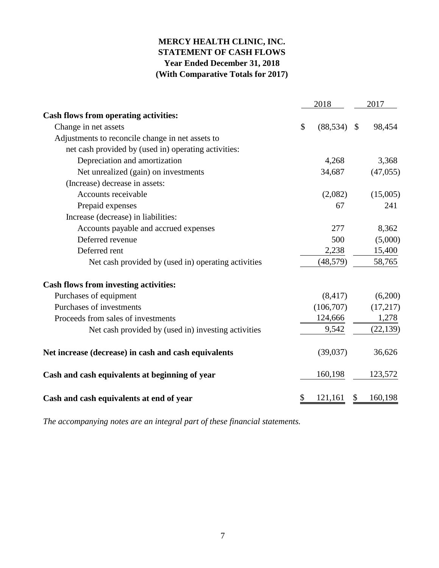# **MERCY HEALTH CLINIC, INC. STATEMENT OF CASH FLOWS Year Ended December 31, 2018 (With Comparative Totals for 2017)**

|                                                      |    | 2018      |               | 2017      |  |  |
|------------------------------------------------------|----|-----------|---------------|-----------|--|--|
| Cash flows from operating activities:                |    |           |               |           |  |  |
| Change in net assets                                 | \$ | (88, 534) | $\mathcal{S}$ | 98,454    |  |  |
| Adjustments to reconcile change in net assets to     |    |           |               |           |  |  |
| net cash provided by (used in) operating activities: |    |           |               |           |  |  |
| Depreciation and amortization                        |    | 4,268     |               | 3,368     |  |  |
| Net unrealized (gain) on investments                 |    | 34,687    |               | (47, 055) |  |  |
| (Increase) decrease in assets:                       |    |           |               |           |  |  |
| Accounts receivable                                  |    | (2,082)   |               | (15,005)  |  |  |
| Prepaid expenses                                     |    | 67        |               | 241       |  |  |
| Increase (decrease) in liabilities:                  |    |           |               |           |  |  |
| Accounts payable and accrued expenses                |    | 277       |               | 8,362     |  |  |
| Deferred revenue                                     |    | 500       |               | (5,000)   |  |  |
| Deferred rent                                        |    | 2,238     |               | 15,400    |  |  |
| Net cash provided by (used in) operating activities  |    | (48, 579) |               | 58,765    |  |  |
| <b>Cash flows from investing activities:</b>         |    |           |               |           |  |  |
| Purchases of equipment                               |    | (8, 417)  |               | (6,200)   |  |  |
| Purchases of investments                             |    | (106,707) |               | (17,217)  |  |  |
| Proceeds from sales of investments                   |    | 124,666   |               | 1,278     |  |  |
| Net cash provided by (used in) investing activities  |    | 9,542     |               | (22, 139) |  |  |
| Net increase (decrease) in cash and cash equivalents |    | (39,037)  |               | 36,626    |  |  |
| Cash and cash equivalents at beginning of year       |    | 160,198   |               | 123,572   |  |  |
| Cash and cash equivalents at end of year             | \$ | 121,161   | \$            | 160,198   |  |  |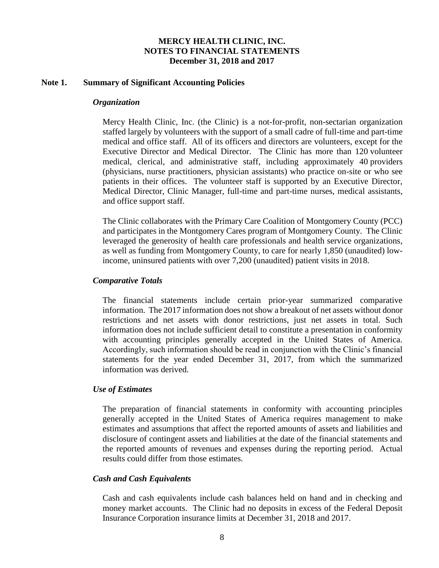### **Note 1. Summary of Significant Accounting Policies**

#### *Organization*

Mercy Health Clinic, Inc. (the Clinic) is a not-for-profit, non-sectarian organization staffed largely by volunteers with the support of a small cadre of full-time and part-time medical and office staff. All of its officers and directors are volunteers, except for the Executive Director and Medical Director. The Clinic has more than 120 volunteer medical, clerical, and administrative staff, including approximately 40 providers (physicians, nurse practitioners, physician assistants) who practice on-site or who see patients in their offices. The volunteer staff is supported by an Executive Director, Medical Director, Clinic Manager, full-time and part-time nurses, medical assistants, and office support staff.

The Clinic collaborates with the Primary Care Coalition of Montgomery County (PCC) and participates in the Montgomery Cares program of Montgomery County. The Clinic leveraged the generosity of health care professionals and health service organizations, as well as funding from Montgomery County, to care for nearly 1,850 (unaudited) lowincome, uninsured patients with over 7,200 (unaudited) patient visits in 2018.

## *Comparative Totals*

The financial statements include certain prior-year summarized comparative information. The 2017 information does not show a breakout of net assets without donor restrictions and net assets with donor restrictions, just net assets in total. Such information does not include sufficient detail to constitute a presentation in conformity with accounting principles generally accepted in the United States of America. Accordingly, such information should be read in conjunction with the Clinic's financial statements for the year ended December 31, 2017, from which the summarized information was derived.

#### *Use of Estimates*

The preparation of financial statements in conformity with accounting principles generally accepted in the United States of America requires management to make estimates and assumptions that affect the reported amounts of assets and liabilities and disclosure of contingent assets and liabilities at the date of the financial statements and the reported amounts of revenues and expenses during the reporting period. Actual results could differ from those estimates.

#### *Cash and Cash Equivalents*

Cash and cash equivalents include cash balances held on hand and in checking and money market accounts. The Clinic had no deposits in excess of the Federal Deposit Insurance Corporation insurance limits at December 31, 2018 and 2017.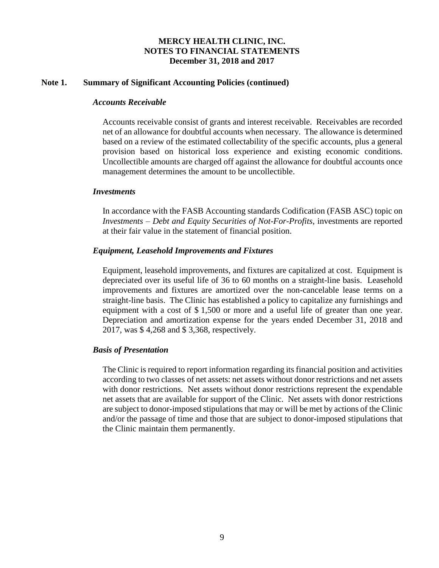## **Note 1. Summary of Significant Accounting Policies (continued)**

### *Accounts Receivable*

Accounts receivable consist of grants and interest receivable. Receivables are recorded net of an allowance for doubtful accounts when necessary. The allowance is determined based on a review of the estimated collectability of the specific accounts, plus a general provision based on historical loss experience and existing economic conditions. Uncollectible amounts are charged off against the allowance for doubtful accounts once management determines the amount to be uncollectible.

### *Investments*

In accordance with the FASB Accounting standards Codification (FASB ASC) topic on *Investments – Debt and Equity Securities of Not-For-Profits*, investments are reported at their fair value in the statement of financial position.

## *Equipment, Leasehold Improvements and Fixtures*

Equipment, leasehold improvements, and fixtures are capitalized at cost. Equipment is depreciated over its useful life of 36 to 60 months on a straight-line basis. Leasehold improvements and fixtures are amortized over the non-cancelable lease terms on a straight-line basis. The Clinic has established a policy to capitalize any furnishings and equipment with a cost of \$ 1,500 or more and a useful life of greater than one year. Depreciation and amortization expense for the years ended December 31, 2018 and 2017, was \$ 4,268 and \$ 3,368, respectively.

## *Basis of Presentation*

The Clinic is required to report information regarding its financial position and activities according to two classes of net assets: net assets without donor restrictions and net assets with donor restrictions. Net assets without donor restrictions represent the expendable net assets that are available for support of the Clinic. Net assets with donor restrictions are subject to donor-imposed stipulations that may or will be met by actions of the Clinic and/or the passage of time and those that are subject to donor-imposed stipulations that the Clinic maintain them permanently.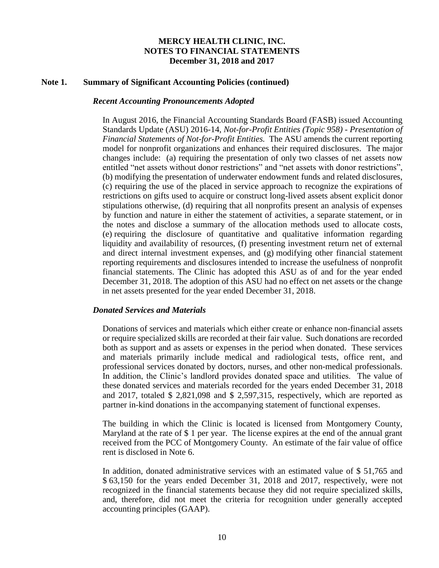#### **Note 1. Summary of Significant Accounting Policies (continued)**

#### *Recent Accounting Pronouncements Adopted*

In August 2016, the Financial Accounting Standards Board (FASB) issued Accounting Standards Update (ASU) 2016-14, *Not-for-Profit Entities (Topic 958) - Presentation of Financial Statements of Not-for-Profit Entities.* The ASU amends the current reporting model for nonprofit organizations and enhances their required disclosures. The major changes include: (a) requiring the presentation of only two classes of net assets now entitled "net assets without donor restrictions" and "net assets with donor restrictions", (b) modifying the presentation of underwater endowment funds and related disclosures, (c) requiring the use of the placed in service approach to recognize the expirations of restrictions on gifts used to acquire or construct long-lived assets absent explicit donor stipulations otherwise, (d) requiring that all nonprofits present an analysis of expenses by function and nature in either the statement of activities, a separate statement, or in the notes and disclose a summary of the allocation methods used to allocate costs, (e) requiring the disclosure of quantitative and qualitative information regarding liquidity and availability of resources, (f) presenting investment return net of external and direct internal investment expenses, and (g) modifying other financial statement reporting requirements and disclosures intended to increase the usefulness of nonprofit financial statements. The Clinic has adopted this ASU as of and for the year ended December 31, 2018. The adoption of this ASU had no effect on net assets or the change in net assets presented for the year ended December 31, 2018.

#### *Donated Services and Materials*

Donations of services and materials which either create or enhance non-financial assets or require specialized skills are recorded at their fair value. Such donations are recorded both as support and as assets or expenses in the period when donated. These services and materials primarily include medical and radiological tests, office rent, and professional services donated by doctors, nurses, and other non-medical professionals. In addition, the Clinic's landlord provides donated space and utilities. The value of these donated services and materials recorded for the years ended December 31, 2018 and 2017, totaled \$ 2,821,098 and \$ 2,597,315, respectively, which are reported as partner in-kind donations in the accompanying statement of functional expenses.

The building in which the Clinic is located is licensed from Montgomery County, Maryland at the rate of \$ 1 per year. The license expires at the end of the annual grant received from the PCC of Montgomery County. An estimate of the fair value of office rent is disclosed in Note 6.

In addition, donated administrative services with an estimated value of \$ 51,765 and \$ 63,150 for the years ended December 31, 2018 and 2017, respectively, were not recognized in the financial statements because they did not require specialized skills, and, therefore, did not meet the criteria for recognition under generally accepted accounting principles (GAAP).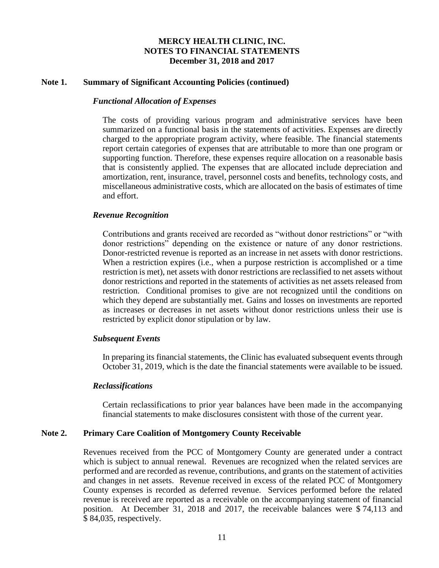### **Note 1. Summary of Significant Accounting Policies (continued)**

### *Functional Allocation of Expenses*

The costs of providing various program and administrative services have been summarized on a functional basis in the statements of activities. Expenses are directly charged to the appropriate program activity, where feasible. The financial statements report certain categories of expenses that are attributable to more than one program or supporting function. Therefore, these expenses require allocation on a reasonable basis that is consistently applied. The expenses that are allocated include depreciation and amortization, rent, insurance, travel, personnel costs and benefits, technology costs, and miscellaneous administrative costs, which are allocated on the basis of estimates of time and effort.

### *Revenue Recognition*

Contributions and grants received are recorded as "without donor restrictions" or "with donor restrictions" depending on the existence or nature of any donor restrictions. Donor-restricted revenue is reported as an increase in net assets with donor restrictions. When a restriction expires (i.e., when a purpose restriction is accomplished or a time restriction is met), net assets with donor restrictions are reclassified to net assets without donor restrictions and reported in the statements of activities as net assets released from restriction. Conditional promises to give are not recognized until the conditions on which they depend are substantially met. Gains and losses on investments are reported as increases or decreases in net assets without donor restrictions unless their use is restricted by explicit donor stipulation or by law.

#### *Subsequent Events*

In preparing its financial statements, the Clinic has evaluated subsequent events through October 31, 2019, which is the date the financial statements were available to be issued.

#### *Reclassifications*

Certain reclassifications to prior year balances have been made in the accompanying financial statements to make disclosures consistent with those of the current year.

#### **Note 2. Primary Care Coalition of Montgomery County Receivable**

Revenues received from the PCC of Montgomery County are generated under a contract which is subject to annual renewal. Revenues are recognized when the related services are performed and are recorded as revenue, contributions, and grants on the statement of activities and changes in net assets. Revenue received in excess of the related PCC of Montgomery County expenses is recorded as deferred revenue. Services performed before the related revenue is received are reported as a receivable on the accompanying statement of financial position. At December 31, 2018 and 2017, the receivable balances were \$ 74,113 and \$ 84,035, respectively.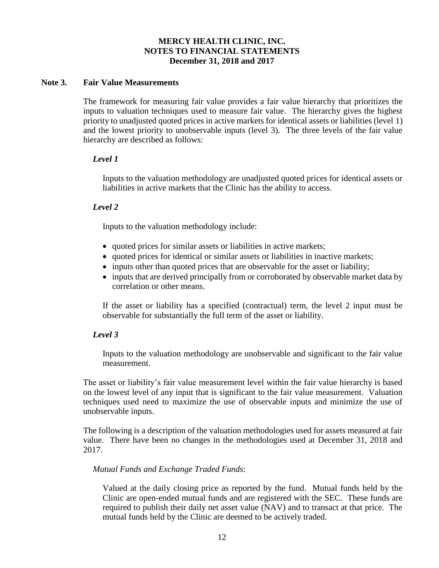## **Note 3. Fair Value Measurements**

The framework for measuring fair value provides a fair value hierarchy that prioritizes the inputs to valuation techniques used to measure fair value. The hierarchy gives the highest priority to unadjusted quoted prices in active markets for identical assets or liabilities (level 1) and the lowest priority to unobservable inputs (level 3). The three levels of the fair value hierarchy are described as follows:

### *Level 1*

Inputs to the valuation methodology are unadjusted quoted prices for identical assets or liabilities in active markets that the Clinic has the ability to access.

## *Level 2*

Inputs to the valuation methodology include:

- quoted prices for similar assets or liabilities in active markets;
- quoted prices for identical or similar assets or liabilities in inactive markets;
- inputs other than quoted prices that are observable for the asset or liability;
- inputs that are derived principally from or corroborated by observable market data by correlation or other means.

If the asset or liability has a specified (contractual) term, the level 2 input must be observable for substantially the full term of the asset or liability.

## *Level 3*

Inputs to the valuation methodology are unobservable and significant to the fair value measurement.

The asset or liability's fair value measurement level within the fair value hierarchy is based on the lowest level of any input that is significant to the fair value measurement. Valuation techniques used need to maximize the use of observable inputs and minimize the use of unobservable inputs.

The following is a description of the valuation methodologies used for assets measured at fair value. There have been no changes in the methodologies used at December 31, 2018 and 2017.

## *Mutual Funds and Exchange Traded Funds*:

Valued at the daily closing price as reported by the fund. Mutual funds held by the Clinic are open-ended mutual funds and are registered with the SEC. These funds are required to publish their daily net asset value (NAV) and to transact at that price. The mutual funds held by the Clinic are deemed to be actively traded.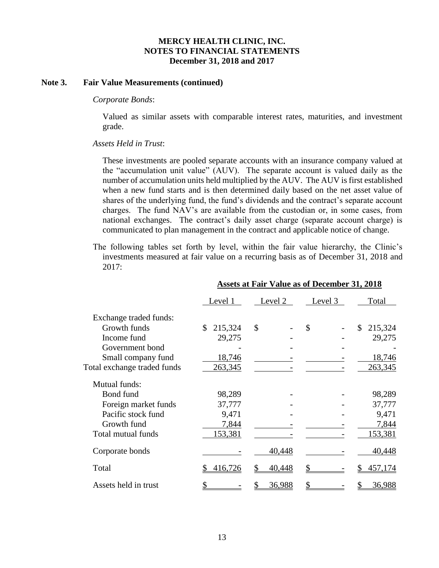### **Note 3. Fair Value Measurements (continued)**

#### *Corporate Bonds*:

Valued as similar assets with comparable interest rates, maturities, and investment grade.

### *Assets Held in Trust*:

These investments are pooled separate accounts with an insurance company valued at the "accumulation unit value" (AUV). The separate account is valued daily as the number of accumulation units held multiplied by the AUV. The AUV is first established when a new fund starts and is then determined daily based on the net asset value of shares of the underlying fund, the fund's dividends and the contract's separate account charges. The fund NAV's are available from the custodian or, in some cases, from national exchanges. The contract's daily asset charge (separate account charge) is communicated to plan management in the contract and applicable notice of change.

The following tables set forth by level, within the fair value hierarchy, the Clinic's investments measured at fair value on a recurring basis as of December 31, 2018 and 2017:

|                             | Level 1       | Level 2       | Level 3 | Total         |
|-----------------------------|---------------|---------------|---------|---------------|
| Exchange traded funds:      |               |               |         |               |
| Growth funds                | 215,324<br>\$ | $\mathcal{S}$ | \$      | \$<br>215,324 |
| Income fund                 | 29,275        |               |         | 29,275        |
| Government bond             |               |               |         |               |
| Small company fund          | 18,746        |               |         | 18,746        |
| Total exchange traded funds | 263,345       |               |         | 263,345       |
| Mutual funds:               |               |               |         |               |
| Bond fund                   | 98,289        |               |         | 98,289        |
| Foreign market funds        | 37,777        |               |         | 37,777        |
| Pacific stock fund          | 9,471         |               |         | 9,471         |
| Growth fund                 | 7,844         |               |         | 7,844         |
| Total mutual funds          | 153,381       |               |         | 153,381       |
| Corporate bonds             |               | 40,448        |         | 40,448        |
| Total                       | 416,726       | 40,448        |         | 457,174       |
| Assets held in trust        |               | <u>36,988</u> |         | 36,988        |

#### **Assets at Fair Value as of December 31, 2018**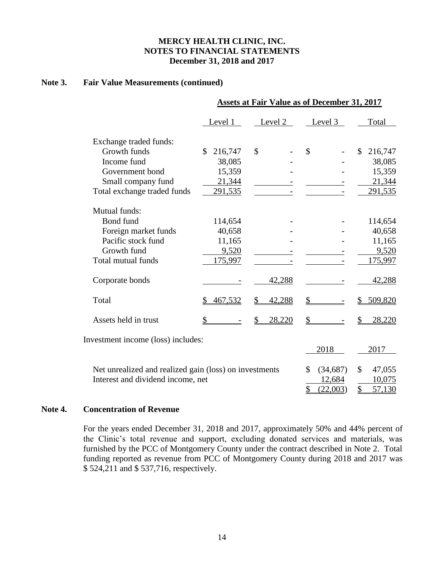## **Note 3. Fair Value Measurements (continued)**

|                                                        | <b>Assets at Fair Value as of December 31, 2017</b> |              |                 |               |  |  |
|--------------------------------------------------------|-----------------------------------------------------|--------------|-----------------|---------------|--|--|
|                                                        | Level 1                                             | Level 2      | Level 3         | Total         |  |  |
| Exchange traded funds:                                 |                                                     |              |                 |               |  |  |
| Growth funds                                           | 216,747<br>S                                        | \$           | \$              | 216,747<br>\$ |  |  |
| Income fund                                            | 38,085                                              |              |                 | 38,085        |  |  |
| Government bond                                        | 15,359                                              |              |                 | 15,359        |  |  |
| Small company fund                                     | 21,344                                              |              |                 | 21,344        |  |  |
| Total exchange traded funds                            | 291,535                                             |              |                 | 291,535       |  |  |
| Mutual funds:                                          |                                                     |              |                 |               |  |  |
| Bond fund                                              | 114,654                                             |              |                 | 114,654       |  |  |
| Foreign market funds                                   | 40,658                                              |              |                 | 40,658        |  |  |
| Pacific stock fund                                     | 11,165                                              |              |                 | 11,165        |  |  |
| Growth fund                                            | 9,520                                               |              |                 | 9,520         |  |  |
| Total mutual funds                                     | 175,997                                             |              |                 | 175,997       |  |  |
| Corporate bonds                                        |                                                     | 42,288       |                 | 42,288        |  |  |
| Total                                                  | 467,532                                             | \$<br>42,288 | \$              | 509,820       |  |  |
| Assets held in trust                                   | \$                                                  | 28,220       | \$              | 28,220<br>\$  |  |  |
| Investment income (loss) includes:                     |                                                     |              |                 |               |  |  |
|                                                        |                                                     |              | 2018            | 2017          |  |  |
| Net unrealized and realized gain (loss) on investments |                                                     |              | \$<br>(34, 687) | \$<br>47,055  |  |  |
| Interest and dividend income, net                      |                                                     |              | 12,684          | 10,075        |  |  |
|                                                        |                                                     |              | \$<br>(22,003)  | \$<br>57,130  |  |  |

### **Note 4. Concentration of Revenue**

For the years ended December 31, 2018 and 2017, approximately 50% and 44% percent of the Clinic's total revenue and support, excluding donated services and materials, was furnished by the PCC of Montgomery County under the contract described in Note 2. Total funding reported as revenue from PCC of Montgomery County during 2018 and 2017 was \$ 524,211 and \$ 537,716, respectively.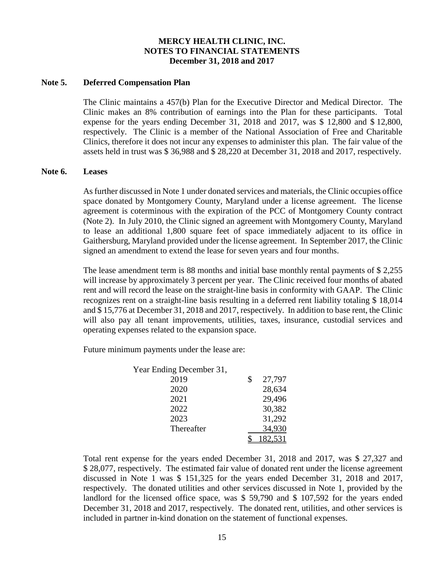## **Note 5. Deferred Compensation Plan**

The Clinic maintains a 457(b) Plan for the Executive Director and Medical Director. The Clinic makes an 8% contribution of earnings into the Plan for these participants. Total expense for the years ending December 31, 2018 and 2017, was \$ 12,800 and \$ 12,800, respectively. The Clinic is a member of the National Association of Free and Charitable Clinics, therefore it does not incur any expenses to administer this plan. The fair value of the assets held in trust was \$ 36,988 and \$ 28,220 at December 31, 2018 and 2017, respectively.

#### **Note 6. Leases**

As further discussed in Note 1 under donated services and materials, the Clinic occupies office space donated by Montgomery County, Maryland under a license agreement. The license agreement is coterminous with the expiration of the PCC of Montgomery County contract (Note 2). In July 2010, the Clinic signed an agreement with Montgomery County, Maryland to lease an additional 1,800 square feet of space immediately adjacent to its office in Gaithersburg, Maryland provided under the license agreement. In September 2017, the Clinic signed an amendment to extend the lease for seven years and four months.

The lease amendment term is 88 months and initial base monthly rental payments of \$ 2,255 will increase by approximately 3 percent per year. The Clinic received four months of abated rent and will record the lease on the straight-line basis in conformity with GAAP. The Clinic recognizes rent on a straight-line basis resulting in a deferred rent liability totaling \$ 18,014 and \$ 15,776 at December 31, 2018 and 2017, respectively. In addition to base rent, the Clinic will also pay all tenant improvements, utilities, taxes, insurance, custodial services and operating expenses related to the expansion space.

Future minimum payments under the lease are:

| Year Ending December 31, |              |
|--------------------------|--------------|
| 2019                     | \$<br>27,797 |
| 2020                     | 28,634       |
| 2021                     | 29,496       |
| 2022                     | 30,382       |
| 2023                     | 31,292       |
| Thereafter               | 34,930       |
|                          | 82.531       |

Total rent expense for the years ended December 31, 2018 and 2017, was \$ 27,327 and \$ 28,077, respectively. The estimated fair value of donated rent under the license agreement discussed in Note 1 was \$ 151,325 for the years ended December 31, 2018 and 2017, respectively. The donated utilities and other services discussed in Note 1, provided by the landlord for the licensed office space, was \$ 59,790 and \$ 107,592 for the years ended December 31, 2018 and 2017, respectively. The donated rent, utilities, and other services is included in partner in-kind donation on the statement of functional expenses.